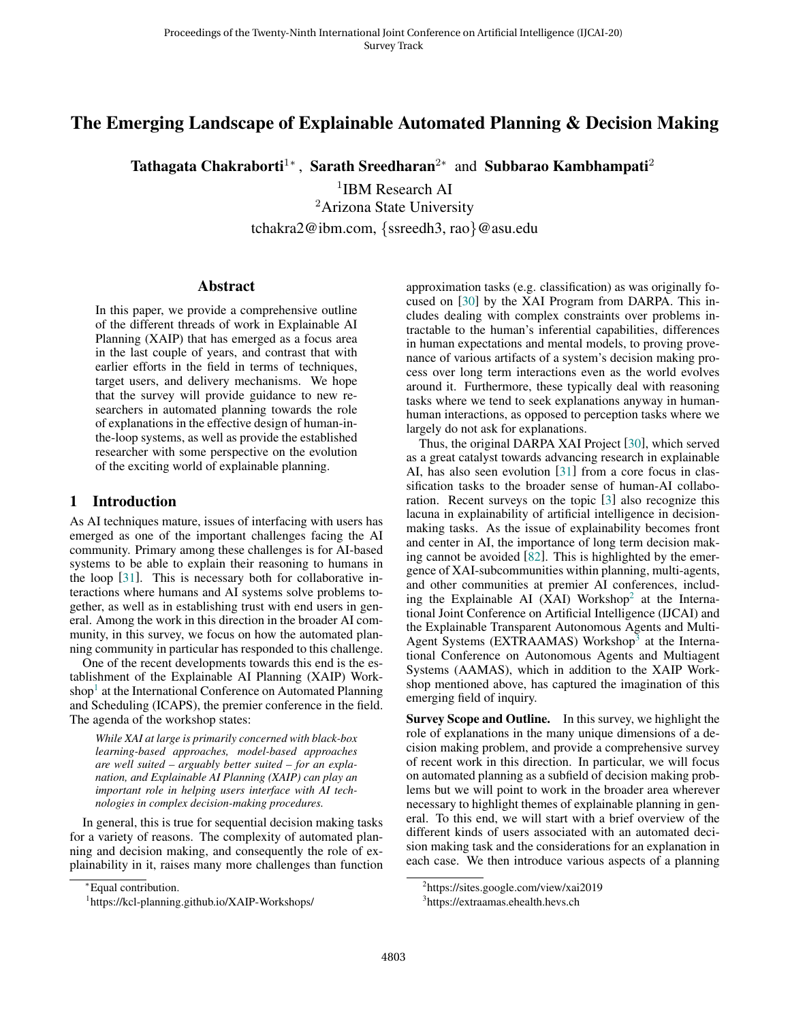# The Emerging Landscape of Explainable Automated Planning & Decision Making

Tathagata Chakraborti<sup>1</sup>\*, Sarath Sreedharan<sup>2</sup>\* and Subbarao Kambhampati<sup>2</sup>

1 IBM Research AI <sup>2</sup>Arizona State University tchakra2@ibm.com, {ssreedh3, rao}@asu.edu

### **Abstract**

In this paper, we provide a comprehensive outline of the different threads of work in Explainable AI Planning (XAIP) that has emerged as a focus area in the last couple of years, and contrast that with earlier efforts in the field in terms of techniques, target users, and delivery mechanisms. We hope that the survey will provide guidance to new researchers in automated planning towards the role of explanations in the effective design of human-inthe-loop systems, as well as provide the established researcher with some perspective on the evolution of the exciting world of explainable planning.

## 1 Introduction

As AI techniques mature, issues of interfacing with users has emerged as one of the important challenges facing the AI community. Primary among these challenges is for AI-based systems to be able to explain their reasoning to humans in the loop [\[31\]](#page-7-0). This is necessary both for collaborative interactions where humans and AI systems solve problems together, as well as in establishing trust with end users in general. Among the work in this direction in the broader AI community, in this survey, we focus on how the automated planning community in particular has responded to this challenge.

One of the recent developments towards this end is the establishment of the Explainable AI Planning (XAIP) Work-shop<sup>[1](#page-0-0)</sup> at the International Conference on Automated Planning and Scheduling (ICAPS), the premier conference in the field. The agenda of the workshop states:

*While XAI at large is primarily concerned with black-box learning-based approaches, model-based approaches are well suited – arguably better suited – for an explanation, and Explainable AI Planning (XAIP) can play an important role in helping users interface with AI technologies in complex decision-making procedures.*

In general, this is true for sequential decision making tasks for a variety of reasons. The complexity of automated planning and decision making, and consequently the role of explainability in it, raises many more challenges than function approximation tasks (e.g. classification) as was originally focused on [\[30\]](#page-7-1) by the XAI Program from DARPA. This includes dealing with complex constraints over problems intractable to the human's inferential capabilities, differences in human expectations and mental models, to proving provenance of various artifacts of a system's decision making process over long term interactions even as the world evolves around it. Furthermore, these typically deal with reasoning tasks where we tend to seek explanations anyway in humanhuman interactions, as opposed to perception tasks where we largely do not ask for explanations.

Thus, the original DARPA XAI Project [\[30\]](#page-7-1), which served as a great catalyst towards advancing research in explainable AI, has also seen evolution [\[31\]](#page-7-0) from a core focus in classification tasks to the broader sense of human-AI collaboration. Recent surveys on the topic [\[3\]](#page-6-0) also recognize this lacuna in explainability of artificial intelligence in decisionmaking tasks. As the issue of explainability becomes front and center in AI, the importance of long term decision making cannot be avoided [\[82\]](#page-8-0). This is highlighted by the emergence of XAI-subcommunities within planning, multi-agents, and other communities at premier AI conferences, includ-ing the Explainable AI (XAI) Workshop<sup>[2](#page-0-1)</sup> at the International Joint Conference on Artificial Intelligence (IJCAI) and the Explainable Transparent Autonomous Agents and Multi-Agent Systems (EXTRAAMAS) Workshop<sup>[3](#page-0-2)</sup> at the International Conference on Autonomous Agents and Multiagent Systems (AAMAS), which in addition to the XAIP Workshop mentioned above, has captured the imagination of this emerging field of inquiry.

Survey Scope and Outline. In this survey, we highlight the role of explanations in the many unique dimensions of a decision making problem, and provide a comprehensive survey of recent work in this direction. In particular, we will focus on automated planning as a subfield of decision making problems but we will point to work in the broader area wherever necessary to highlight themes of explainable planning in general. To this end, we will start with a brief overview of the different kinds of users associated with an automated decision making task and the considerations for an explanation in each case. We then introduce various aspects of a planning

<sup>∗</sup>Equal contribution.

<span id="page-0-0"></span><sup>1</sup> https://kcl-planning.github.io/XAIP-Workshops/

<span id="page-0-1"></span><sup>&</sup>lt;sup>2</sup>https://sites.google.com/view/xai2019

<span id="page-0-2"></span><sup>3</sup> https://extraamas.ehealth.hevs.ch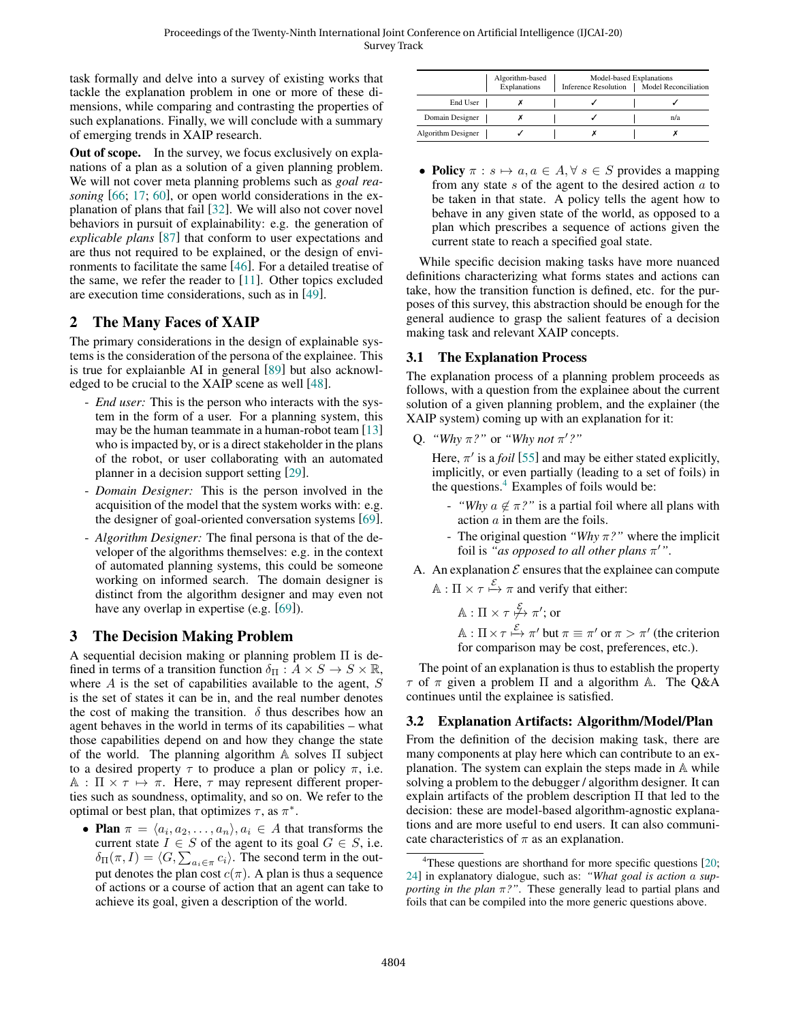task formally and delve into a survey of existing works that tackle the explanation problem in one or more of these dimensions, while comparing and contrasting the properties of such explanations. Finally, we will conclude with a summary of emerging trends in XAIP research.

Out of scope. In the survey, we focus exclusively on explanations of a plan as a solution of a given planning problem. We will not cover meta planning problems such as *goal reasoning* [\[66;](#page-8-1) [17;](#page-6-1) [60\]](#page-8-2), or open world considerations in the explanation of plans that fail [\[32\]](#page-7-2). We will also not cover novel behaviors in pursuit of explainability: e.g. the generation of *explicable plans* [\[87\]](#page-8-3) that conform to user expectations and are thus not required to be explained, or the design of environments to facilitate the same [\[46\]](#page-7-3). For a detailed treatise of the same, we refer the reader to [\[11\]](#page-6-2). Other topics excluded are execution time considerations, such as in [\[49\]](#page-7-4).

# 2 The Many Faces of XAIP

The primary considerations in the design of explainable systems is the consideration of the persona of the explainee. This is true for explaianble AI in general [\[89\]](#page-8-4) but also acknowledged to be crucial to the XAIP scene as well [\[48\]](#page-7-5).

- *End user:* This is the person who interacts with the system in the form of a user. For a planning system, this may be the human teammate in a human-robot team [\[13\]](#page-6-3) who is impacted by, or is a direct stakeholder in the plans of the robot, or user collaborating with an automated planner in a decision support setting [\[29\]](#page-6-4).
- *Domain Designer:* This is the person involved in the acquisition of the model that the system works with: e.g. the designer of goal-oriented conversation systems [\[69\]](#page-8-5).
- *Algorithm Designer:* The final persona is that of the developer of the algorithms themselves: e.g. in the context of automated planning systems, this could be someone working on informed search. The domain designer is distinct from the algorithm designer and may even not have any overlap in expertise (e.g. [\[69\]](#page-8-5)).

# 3 The Decision Making Problem

A sequential decision making or planning problem Π is defined in terms of a transition function  $\delta_{\Pi} : A \times S \to S \times \mathbb{R}$ , where  $A$  is the set of capabilities available to the agent,  $S$ is the set of states it can be in, and the real number denotes the cost of making the transition.  $\delta$  thus describes how an agent behaves in the world in terms of its capabilities – what those capabilities depend on and how they change the state of the world. The planning algorithm  $\mathbb A$  solves  $\Pi$  subject to a desired property  $\tau$  to produce a plan or policy  $\pi$ , i.e.  $A : \Pi \times \tau \mapsto \pi$ . Here,  $\tau$  may represent different properties such as soundness, optimality, and so on. We refer to the optimal or best plan, that optimizes  $\tau$ , as  $\pi^*$ .

• Plan  $\pi = \langle a_i, a_2, \ldots, a_n \rangle, a_i \in A$  that transforms the current state  $I \in S$  of the agent to its goal  $G \in S$ , i.e.  $\delta_{\Pi}(\pi, I) = \langle G, \sum_{a_i \in \pi} c_i \rangle$ . The second term in the output denotes the plan cost  $c(\pi)$ . A plan is thus a sequence of actions or a course of action that an agent can take to achieve its goal, given a description of the world.

|                    | Algorithm-based<br>Explanations | Model-based Explanations<br>Model Reconciliation<br><b>Inference Resolution</b> |  |     |
|--------------------|---------------------------------|---------------------------------------------------------------------------------|--|-----|
| End User           |                                 |                                                                                 |  |     |
| Domain Designer    |                                 |                                                                                 |  | n/a |
| Algorithm Designer |                                 |                                                                                 |  |     |

• Policy  $\pi : s \mapsto a, a \in A, \forall s \in S$  provides a mapping from any state  $s$  of the agent to the desired action  $a$  to be taken in that state. A policy tells the agent how to behave in any given state of the world, as opposed to a plan which prescribes a sequence of actions given the current state to reach a specified goal state.

While specific decision making tasks have more nuanced definitions characterizing what forms states and actions can take, how the transition function is defined, etc. for the purposes of this survey, this abstraction should be enough for the general audience to grasp the salient features of a decision making task and relevant XAIP concepts.

# 3.1 The Explanation Process

The explanation process of a planning problem proceeds as follows, with a question from the explainee about the current solution of a given planning problem, and the explainer (the XAIP system) coming up with an explanation for it:

Q. *"Why*  $\pi$ ?" or *"Why not*  $\pi$ '?"

Here,  $\pi'$  is a *foil* [\[55\]](#page-7-6) and may be either stated explicitly, implicitly, or even partially (leading to a set of foils) in the questions. $4$  Examples of foils would be:

- *"Why*  $a \notin \pi$ ?" is a partial foil where all plans with action a in them are the foils.
- The original question *"Why* π*?"* where the implicit foil is "as opposed to all other plans  $\pi'$ ".
- A. An explanation  $\mathcal E$  ensures that the explainee can compute  $\mathbb{A} : \Pi \times \tau \stackrel{\mathcal{E}}{\mapsto} \pi$  and verify that either:

 $\mathbb{A} : \Pi \times \tau \not\stackrel{\mathcal{E}}{\mapsto} \pi' ;$  or  $\mathbb{A}: \Pi \times \tau \stackrel{\mathcal{E}}{\mapsto} \pi'$  but  $\pi \equiv \pi'$  or  $\pi > \pi'$  (the criterion for comparison may be cost, preferences, etc.).

The point of an explanation is thus to establish the property  $\tau$  of  $\pi$  given a problem  $\Pi$  and a algorithm A. The Q&A continues until the explainee is satisfied.

# 3.2 Explanation Artifacts: Algorithm/Model/Plan

From the definition of the decision making task, there are many components at play here which can contribute to an explanation. The system can explain the steps made in A while solving a problem to the debugger / algorithm designer. It can explain artifacts of the problem description Π that led to the decision: these are model-based algorithm-agnostic explanations and are more useful to end users. It can also communicate characteristics of  $\pi$  as an explanation.

<span id="page-1-0"></span><sup>&</sup>lt;sup>4</sup>These questions are shorthand for more specific questions [\[20;](#page-6-5) [24\]](#page-6-6) in explanatory dialogue, such as: *"What goal is action* a *supporting in the plan*  $\pi$ ?". These generally lead to partial plans and foils that can be compiled into the more generic questions above.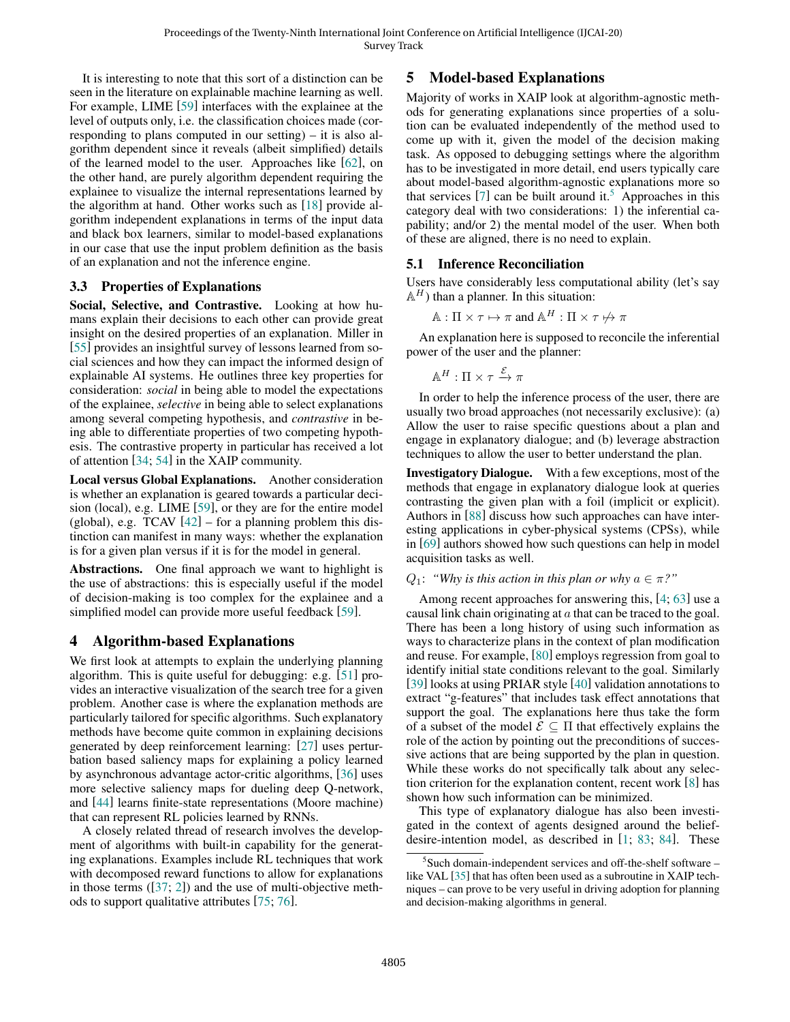It is interesting to note that this sort of a distinction can be seen in the literature on explainable machine learning as well. For example, LIME [\[59\]](#page-7-7) interfaces with the explainee at the level of outputs only, i.e. the classification choices made (corresponding to plans computed in our setting) – it is also algorithm dependent since it reveals (albeit simplified) details of the learned model to the user. Approaches like [\[62\]](#page-8-6), on the other hand, are purely algorithm dependent requiring the explainee to visualize the internal representations learned by the algorithm at hand. Other works such as [\[18\]](#page-6-7) provide algorithm independent explanations in terms of the input data and black box learners, similar to model-based explanations in our case that use the input problem definition as the basis of an explanation and not the inference engine.

### 3.3 Properties of Explanations

Social, Selective, and Contrastive. Looking at how humans explain their decisions to each other can provide great insight on the desired properties of an explanation. Miller in [\[55\]](#page-7-6) provides an insightful survey of lessons learned from social sciences and how they can impact the informed design of explainable AI systems. He outlines three key properties for consideration: *social* in being able to model the expectations of the explainee, *selective* in being able to select explanations among several competing hypothesis, and *contrastive* in being able to differentiate properties of two competing hypothesis. The contrastive property in particular has received a lot of attention [\[34;](#page-7-8) [54\]](#page-7-9) in the XAIP community.

Local versus Global Explanations. Another consideration is whether an explanation is geared towards a particular decision (local), e.g. LIME [\[59\]](#page-7-7), or they are for the entire model (global), e.g. TCAV  $[42]$  – for a planning problem this distinction can manifest in many ways: whether the explanation is for a given plan versus if it is for the model in general.

Abstractions. One final approach we want to highlight is the use of abstractions: this is especially useful if the model of decision-making is too complex for the explainee and a simplified model can provide more useful feedback [\[59\]](#page-7-7).

# 4 Algorithm-based Explanations

We first look at attempts to explain the underlying planning algorithm. This is quite useful for debugging: e.g. [\[51\]](#page-7-11) provides an interactive visualization of the search tree for a given problem. Another case is where the explanation methods are particularly tailored for specific algorithms. Such explanatory methods have become quite common in explaining decisions generated by deep reinforcement learning: [\[27\]](#page-6-8) uses perturbation based saliency maps for explaining a policy learned by asynchronous advantage actor-critic algorithms, [\[36\]](#page-7-12) uses more selective saliency maps for dueling deep Q-network, and [\[44\]](#page-7-13) learns finite-state representations (Moore machine) that can represent RL policies learned by RNNs.

A closely related thread of research involves the development of algorithms with built-in capability for the generating explanations. Examples include RL techniques that work with decomposed reward functions to allow for explanations in those terms  $(37; 2)$  and the use of multi-objective methods to support qualitative attributes [\[75;](#page-8-7) [76\]](#page-8-8).

# 5 Model-based Explanations

Majority of works in XAIP look at algorithm-agnostic methods for generating explanations since properties of a solution can be evaluated independently of the method used to come up with it, given the model of the decision making task. As opposed to debugging settings where the algorithm has to be investigated in more detail, end users typically care about model-based algorithm-agnostic explanations more so that services  $[7]$  can be built around it.<sup>[5](#page-2-0)</sup> Approaches in this category deal with two considerations: 1) the inferential capability; and/or 2) the mental model of the user. When both of these are aligned, there is no need to explain.

### 5.1 Inference Reconciliation

Users have considerably less computational ability (let's say  $\mathbb{A}^H$ ) than a planner. In this situation:

$$
\mathbb{A} : \Pi \times \tau \mapsto \pi
$$
 and  $\mathbb{A}^H : \Pi \times \tau \not\mapsto \pi$ 

An explanation here is supposed to reconcile the inferential power of the user and the planner:

$$
\mathbb{A}^H : \Pi \times \tau \xrightarrow{\mathcal{E}} \pi
$$

In order to help the inference process of the user, there are usually two broad approaches (not necessarily exclusive): (a) Allow the user to raise specific questions about a plan and engage in explanatory dialogue; and (b) leverage abstraction techniques to allow the user to better understand the plan.

Investigatory Dialogue. With a few exceptions, most of the methods that engage in explanatory dialogue look at queries contrasting the given plan with a foil (implicit or explicit). Authors in [\[88\]](#page-8-9) discuss how such approaches can have interesting applications in cyber-physical systems (CPSs), while in [\[69\]](#page-8-5) authors showed how such questions can help in model acquisition tasks as well.

#### $Q_1$ : *"Why is this action in this plan or why*  $a \in \pi$ ?"

Among recent approaches for answering this, [\[4;](#page-6-11) [63\]](#page-8-10) use a causal link chain originating at  $a$  that can be traced to the goal. There has been a long history of using such information as ways to characterize plans in the context of plan modification and reuse. For example, [\[80\]](#page-8-11) employs regression from goal to identify initial state conditions relevant to the goal. Similarly [\[39\]](#page-7-15) looks at using PRIAR style [\[40\]](#page-7-16) validation annotations to extract "g-features" that includes task effect annotations that support the goal. The explanations here thus take the form of a subset of the model  $\mathcal{E} \subseteq \Pi$  that effectively explains the role of the action by pointing out the preconditions of successive actions that are being supported by the plan in question. While these works do not specifically talk about any selection criterion for the explanation content, recent work [\[8\]](#page-6-12) has shown how such information can be minimized.

This type of explanatory dialogue has also been investigated in the context of agents designed around the beliefdesire-intention model, as described in [\[1;](#page-6-13) [83;](#page-8-12) [84\]](#page-8-13). These

<span id="page-2-0"></span><sup>&</sup>lt;sup>5</sup>Such domain-independent services and off-the-shelf software like VAL [\[35\]](#page-7-17) that has often been used as a subroutine in XAIP techniques – can prove to be very useful in driving adoption for planning and decision-making algorithms in general.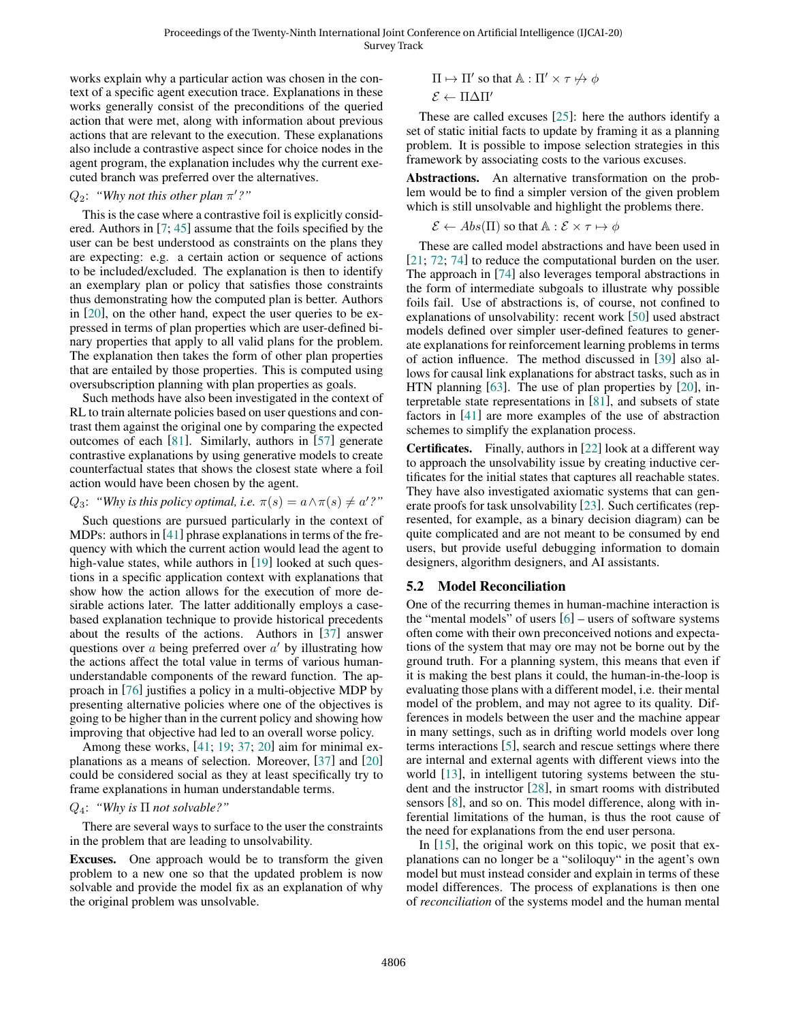works explain why a particular action was chosen in the context of a specific agent execution trace. Explanations in these works generally consist of the preconditions of the queried action that were met, along with information about previous actions that are relevant to the execution. These explanations also include a contrastive aspect since for choice nodes in the agent program, the explanation includes why the current executed branch was preferred over the alternatives.

### $Q_2$ : "Why not this other plan  $\pi'$ ?"

This is the case where a contrastive foil is explicitly considered. Authors in [\[7;](#page-6-10) [45\]](#page-7-18) assume that the foils specified by the user can be best understood as constraints on the plans they are expecting: e.g. a certain action or sequence of actions to be included/excluded. The explanation is then to identify an exemplary plan or policy that satisfies those constraints thus demonstrating how the computed plan is better. Authors in [\[20\]](#page-6-5), on the other hand, expect the user queries to be expressed in terms of plan properties which are user-defined binary properties that apply to all valid plans for the problem. The explanation then takes the form of other plan properties that are entailed by those properties. This is computed using oversubscription planning with plan properties as goals.

Such methods have also been investigated in the context of RL to train alternate policies based on user questions and contrast them against the original one by comparing the expected outcomes of each [\[81\]](#page-8-14). Similarly, authors in [\[57\]](#page-7-19) generate contrastive explanations by using generative models to create counterfactual states that shows the closest state where a foil action would have been chosen by the agent.

### $Q_3$ : *"Why is this policy optimal, i.e.*  $\pi(s) = a \wedge \pi(s) \neq a'$ ?"

Such questions are pursued particularly in the context of MDPs: authors in [\[41\]](#page-7-20) phrase explanations in terms of the frequency with which the current action would lead the agent to high-value states, while authors in [\[19\]](#page-6-14) looked at such questions in a specific application context with explanations that show how the action allows for the execution of more desirable actions later. The latter additionally employs a casebased explanation technique to provide historical precedents about the results of the actions. Authors in [\[37\]](#page-7-14) answer questions over  $a$  being preferred over  $a'$  by illustrating how the actions affect the total value in terms of various humanunderstandable components of the reward function. The approach in [\[76\]](#page-8-8) justifies a policy in a multi-objective MDP by presenting alternative policies where one of the objectives is going to be higher than in the current policy and showing how improving that objective had led to an overall worse policy.

Among these works, [\[41;](#page-7-20) [19;](#page-6-14) [37;](#page-7-14) [20\]](#page-6-5) aim for minimal explanations as a means of selection. Moreover, [\[37\]](#page-7-14) and [\[20\]](#page-6-5) could be considered social as they at least specifically try to frame explanations in human understandable terms.

#### Q4: *"Why is* Π *not solvable?"*

There are several ways to surface to the user the constraints in the problem that are leading to unsolvability.

Excuses. One approach would be to transform the given problem to a new one so that the updated problem is now solvable and provide the model fix as an explanation of why the original problem was unsolvable.

$$
\Pi \mapsto \Pi' \text{ so that } \mathbb{A} : \Pi' \times \tau \nleftrightarrow \phi
$$

$$
\mathcal{E} \leftarrow \Pi \Delta \Pi'
$$

These are called excuses [\[25\]](#page-6-15): here the authors identify a set of static initial facts to update by framing it as a planning problem. It is possible to impose selection strategies in this framework by associating costs to the various excuses.

Abstractions. An alternative transformation on the problem would be to find a simpler version of the given problem which is still unsolvable and highlight the problems there.

$$
\mathcal{E} \leftarrow Abs(\Pi)
$$
 so that  $\mathbb{A}: \mathcal{E} \times \tau \mapsto \phi$ 

These are called model abstractions and have been used in [\[21;](#page-6-16) [72;](#page-8-15) [74\]](#page-8-16) to reduce the computational burden on the user. The approach in [\[74\]](#page-8-16) also leverages temporal abstractions in the form of intermediate subgoals to illustrate why possible foils fail. Use of abstractions is, of course, not confined to explanations of unsolvability: recent work [\[50\]](#page-7-21) used abstract models defined over simpler user-defined features to generate explanations for reinforcement learning problems in terms of action influence. The method discussed in [\[39\]](#page-7-15) also allows for causal link explanations for abstract tasks, such as in HTN planning [\[63\]](#page-8-10). The use of plan properties by [\[20\]](#page-6-5), interpretable state representations in [\[81\]](#page-8-14), and subsets of state factors in [\[41\]](#page-7-20) are more examples of the use of abstraction schemes to simplify the explanation process.

Certificates. Finally, authors in [\[22\]](#page-6-17) look at a different way to approach the unsolvability issue by creating inductive certificates for the initial states that captures all reachable states. They have also investigated axiomatic systems that can generate proofs for task unsolvability [\[23\]](#page-6-18). Such certificates (represented, for example, as a binary decision diagram) can be quite complicated and are not meant to be consumed by end users, but provide useful debugging information to domain designers, algorithm designers, and AI assistants.

### 5.2 Model Reconciliation

One of the recurring themes in human-machine interaction is the "mental models" of users  $[6]$  – users of software systems often come with their own preconceived notions and expectations of the system that may ore may not be borne out by the ground truth. For a planning system, this means that even if it is making the best plans it could, the human-in-the-loop is evaluating those plans with a different model, i.e. their mental model of the problem, and may not agree to its quality. Differences in models between the user and the machine appear in many settings, such as in drifting world models over long terms interactions [\[5\]](#page-6-20), search and rescue settings where there are internal and external agents with different views into the world [\[13\]](#page-6-3), in intelligent tutoring systems between the student and the instructor [\[28\]](#page-6-21), in smart rooms with distributed sensors [\[8\]](#page-6-12), and so on. This model difference, along with inferential limitations of the human, is thus the root cause of the need for explanations from the end user persona.

In [\[15\]](#page-6-22), the original work on this topic, we posit that explanations can no longer be a "soliloquy" in the agent's own model but must instead consider and explain in terms of these model differences. The process of explanations is then one of *reconciliation* of the systems model and the human mental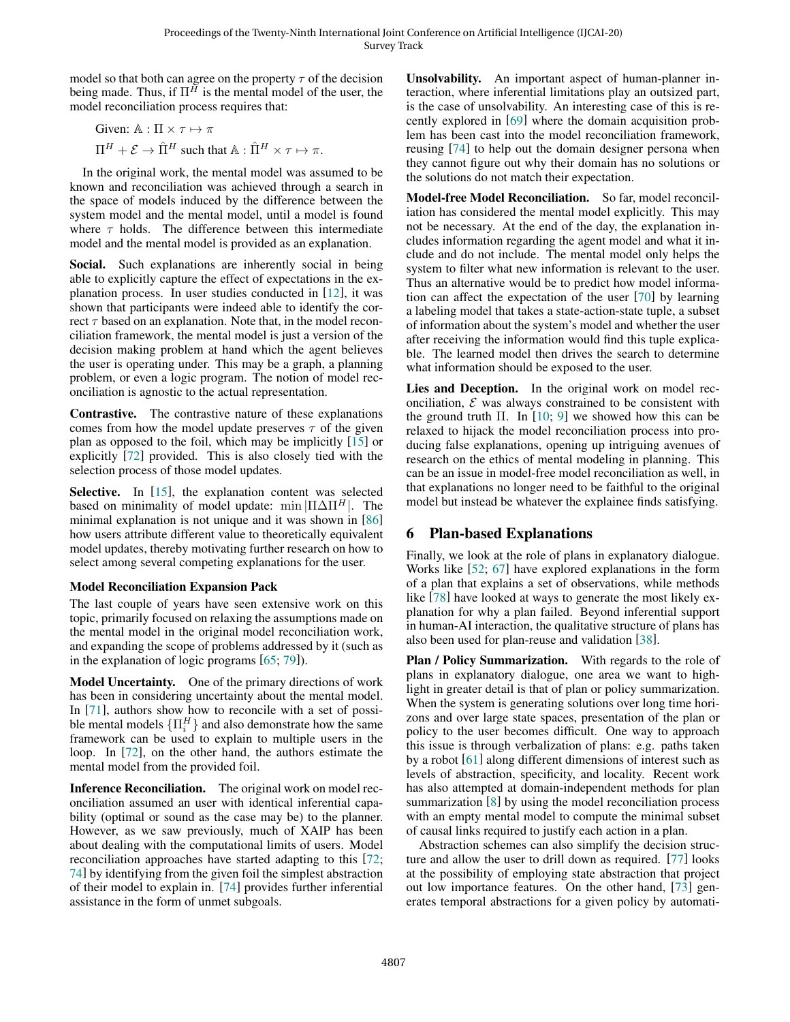model so that both can agree on the property  $\tau$  of the decision being made. Thus, if  $\Pi^{\tilde{H}}$  is the mental model of the user, the model reconciliation process requires that:

Given:  $A : \Pi \times \tau \mapsto \pi$  $\Pi^H + \mathcal{E} \rightarrow \hat{\Pi}^H$  such that  $\mathbb{A} : \hat{\Pi}^H \times \tau \mapsto \pi$ .

In the original work, the mental model was assumed to be known and reconciliation was achieved through a search in the space of models induced by the difference between the system model and the mental model, until a model is found where  $\tau$  holds. The difference between this intermediate model and the mental model is provided as an explanation.

Social. Such explanations are inherently social in being able to explicitly capture the effect of expectations in the explanation process. In user studies conducted in [\[12\]](#page-6-23), it was shown that participants were indeed able to identify the correct  $\tau$  based on an explanation. Note that, in the model reconciliation framework, the mental model is just a version of the decision making problem at hand which the agent believes the user is operating under. This may be a graph, a planning problem, or even a logic program. The notion of model reconciliation is agnostic to the actual representation.

Contrastive. The contrastive nature of these explanations comes from how the model update preserves  $\tau$  of the given plan as opposed to the foil, which may be implicitly [\[15\]](#page-6-22) or explicitly [\[72\]](#page-8-15) provided. This is also closely tied with the selection process of those model updates.

Selective. In [\[15\]](#page-6-22), the explanation content was selected based on minimality of model update: min  $|\Pi \Delta \Pi^{H}|$ . The minimal explanation is not unique and it was shown in [\[86\]](#page-8-17) how users attribute different value to theoretically equivalent model updates, thereby motivating further research on how to select among several competing explanations for the user.

### Model Reconciliation Expansion Pack

The last couple of years have seen extensive work on this topic, primarily focused on relaxing the assumptions made on the mental model in the original model reconciliation work, and expanding the scope of problems addressed by it (such as in the explanation of logic programs [\[65;](#page-8-18) [79\]](#page-8-19)).

Model Uncertainty. One of the primary directions of work has been in considering uncertainty about the mental model. In [\[71\]](#page-8-20), authors show how to reconcile with a set of possible mental models  $\{\Pi_i^H\}$  and also demonstrate how the same framework can be used to explain to multiple users in the loop. In [\[72\]](#page-8-15), on the other hand, the authors estimate the mental model from the provided foil.

Inference Reconciliation. The original work on model reconciliation assumed an user with identical inferential capability (optimal or sound as the case may be) to the planner. However, as we saw previously, much of XAIP has been about dealing with the computational limits of users. Model reconciliation approaches have started adapting to this [\[72;](#page-8-15) [74\]](#page-8-16) by identifying from the given foil the simplest abstraction of their model to explain in. [\[74\]](#page-8-16) provides further inferential assistance in the form of unmet subgoals.

Unsolvability. An important aspect of human-planner interaction, where inferential limitations play an outsized part, is the case of unsolvability. An interesting case of this is recently explored in [\[69\]](#page-8-5) where the domain acquisition problem has been cast into the model reconciliation framework, reusing [\[74\]](#page-8-16) to help out the domain designer persona when they cannot figure out why their domain has no solutions or the solutions do not match their expectation.

Model-free Model Reconciliation. So far, model reconciliation has considered the mental model explicitly. This may not be necessary. At the end of the day, the explanation includes information regarding the agent model and what it include and do not include. The mental model only helps the system to filter what new information is relevant to the user. Thus an alternative would be to predict how model information can affect the expectation of the user [\[70\]](#page-8-21) by learning a labeling model that takes a state-action-state tuple, a subset of information about the system's model and whether the user after receiving the information would find this tuple explicable. The learned model then drives the search to determine what information should be exposed to the user.

Lies and Deception. In the original work on model reconciliation,  $\mathcal E$  was always constrained to be consistent with the ground truth  $\Pi$ . In [\[10;](#page-6-24) [9\]](#page-6-25) we showed how this can be relaxed to hijack the model reconciliation process into producing false explanations, opening up intriguing avenues of research on the ethics of mental modeling in planning. This can be an issue in model-free model reconciliation as well, in that explanations no longer need to be faithful to the original model but instead be whatever the explainee finds satisfying.

# 6 Plan-based Explanations

Finally, we look at the role of plans in explanatory dialogue. Works like [\[52;](#page-7-22) [67\]](#page-8-22) have explored explanations in the form of a plan that explains a set of observations, while methods like [\[78\]](#page-8-23) have looked at ways to generate the most likely explanation for why a plan failed. Beyond inferential support in human-AI interaction, the qualitative structure of plans has also been used for plan-reuse and validation [\[38\]](#page-7-23).

Plan / Policy Summarization. With regards to the role of plans in explanatory dialogue, one area we want to highlight in greater detail is that of plan or policy summarization. When the system is generating solutions over long time horizons and over large state spaces, presentation of the plan or policy to the user becomes difficult. One way to approach this issue is through verbalization of plans: e.g. paths taken by a robot [\[61\]](#page-8-24) along different dimensions of interest such as levels of abstraction, specificity, and locality. Recent work has also attempted at domain-independent methods for plan summarization [\[8\]](#page-6-12) by using the model reconciliation process with an empty mental model to compute the minimal subset of causal links required to justify each action in a plan.

Abstraction schemes can also simplify the decision structure and allow the user to drill down as required. [\[77\]](#page-8-25) looks at the possibility of employing state abstraction that project out low importance features. On the other hand, [\[73\]](#page-8-26) generates temporal abstractions for a given policy by automati-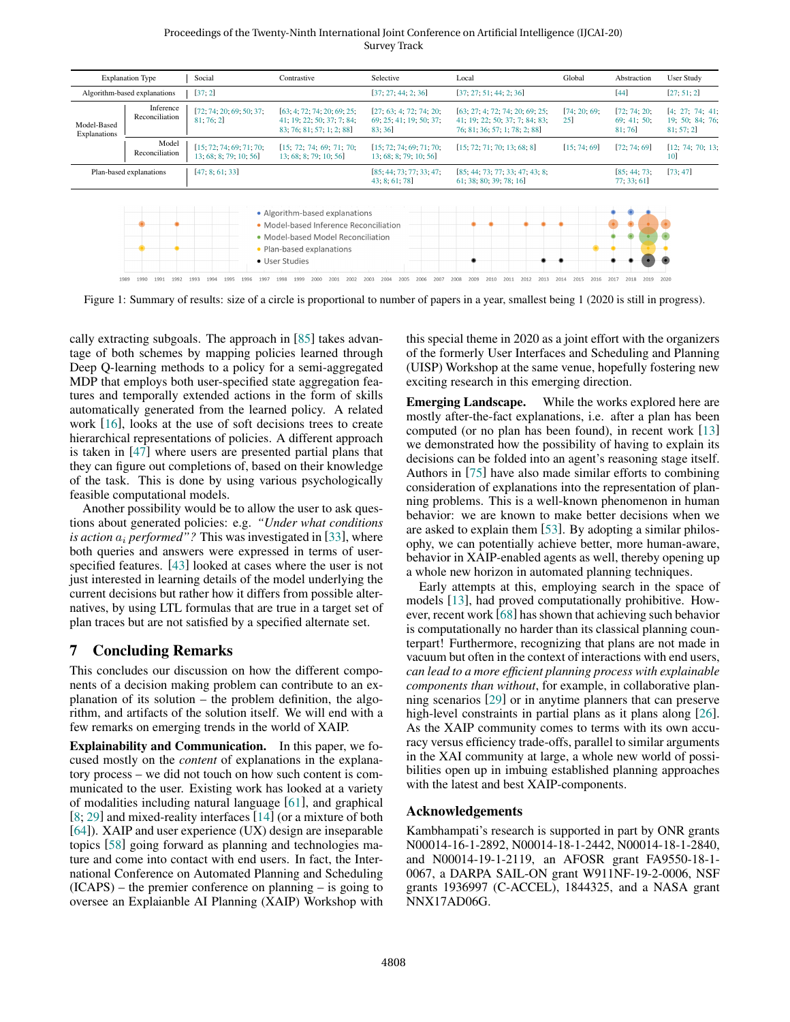Proceedings of the Twenty-Ninth International Joint Conference on Artificial Intelligence (IJCAI-20) Survey Track



Figure 1: Summary of results: size of a circle is proportional to number of papers in a year, smallest being 1 (2020 is still in progress).

cally extracting subgoals. The approach in [\[85\]](#page-8-28) takes advantage of both schemes by mapping policies learned through Deep Q-learning methods to a policy for a semi-aggregated MDP that employs both user-specified state aggregation features and temporally extended actions in the form of skills automatically generated from the learned policy. A related work [\[16\]](#page-6-26), looks at the use of soft decisions trees to create hierarchical representations of policies. A different approach is taken in [\[47\]](#page-7-25) where users are presented partial plans that they can figure out completions of, based on their knowledge of the task. This is done by using various psychologically feasible computational models.

Another possibility would be to allow the user to ask questions about generated policies: e.g. *"Under what conditions is action*  $a_i$  *performed"?* This was investigated in [\[33\]](#page-7-26), where both queries and answers were expressed in terms of userspecified features. [\[43\]](#page-7-27) looked at cases where the user is not just interested in learning details of the model underlying the current decisions but rather how it differs from possible alternatives, by using LTL formulas that are true in a target set of plan traces but are not satisfied by a specified alternate set.

# 7 Concluding Remarks

This concludes our discussion on how the different components of a decision making problem can contribute to an explanation of its solution – the problem definition, the algorithm, and artifacts of the solution itself. We will end with a few remarks on emerging trends in the world of XAIP.

Explainability and Communication. In this paper, we focused mostly on the *content* of explanations in the explanatory process – we did not touch on how such content is communicated to the user. Existing work has looked at a variety of modalities including natural language [\[61\]](#page-8-24), and graphical [\[8;](#page-6-12) [29\]](#page-6-4) and mixed-reality interfaces [\[14\]](#page-6-27) (or a mixture of both [\[64\]](#page-8-29)). XAIP and user experience (UX) design are inseparable topics [\[58\]](#page-7-28) going forward as planning and technologies mature and come into contact with end users. In fact, the International Conference on Automated Planning and Scheduling (ICAPS) – the premier conference on planning – is going to oversee an Explaianble AI Planning (XAIP) Workshop with this special theme in 2020 as a joint effort with the organizers of the formerly User Interfaces and Scheduling and Planning (UISP) Workshop at the same venue, hopefully fostering new exciting research in this emerging direction.

Emerging Landscape. While the works explored here are mostly after-the-fact explanations, i.e. after a plan has been computed (or no plan has been found), in recent work [\[13\]](#page-6-3) we demonstrated how the possibility of having to explain its decisions can be folded into an agent's reasoning stage itself. Authors in [\[75\]](#page-8-7) have also made similar efforts to combining consideration of explanations into the representation of planning problems. This is a well-known phenomenon in human behavior: we are known to make better decisions when we are asked to explain them [\[53\]](#page-7-29). By adopting a similar philosophy, we can potentially achieve better, more human-aware, behavior in XAIP-enabled agents as well, thereby opening up a whole new horizon in automated planning techniques.

Early attempts at this, employing search in the space of models [\[13\]](#page-6-3), had proved computationally prohibitive. However, recent work [\[68\]](#page-8-27) has shown that achieving such behavior is computationally no harder than its classical planning counterpart! Furthermore, recognizing that plans are not made in vacuum but often in the context of interactions with end users, *can lead to a more efficient planning process with explainable components than without*, for example, in collaborative planning scenarios [\[29\]](#page-6-4) or in anytime planners that can preserve high-level constraints in partial plans as it plans along [\[26\]](#page-6-28). As the XAIP community comes to terms with its own accuracy versus efficiency trade-offs, parallel to similar arguments in the XAI community at large, a whole new world of possibilities open up in imbuing established planning approaches with the latest and best XAIP-components.

### Acknowledgements

Kambhampati's research is supported in part by ONR grants N00014-16-1-2892, N00014-18-1-2442, N00014-18-1-2840, and N00014-19-1-2119, an AFOSR grant FA9550-18-1- 0067, a DARPA SAIL-ON grant W911NF-19-2-0006, NSF grants 1936997 (C-ACCEL), 1844325, and a NASA grant NNX17AD06G.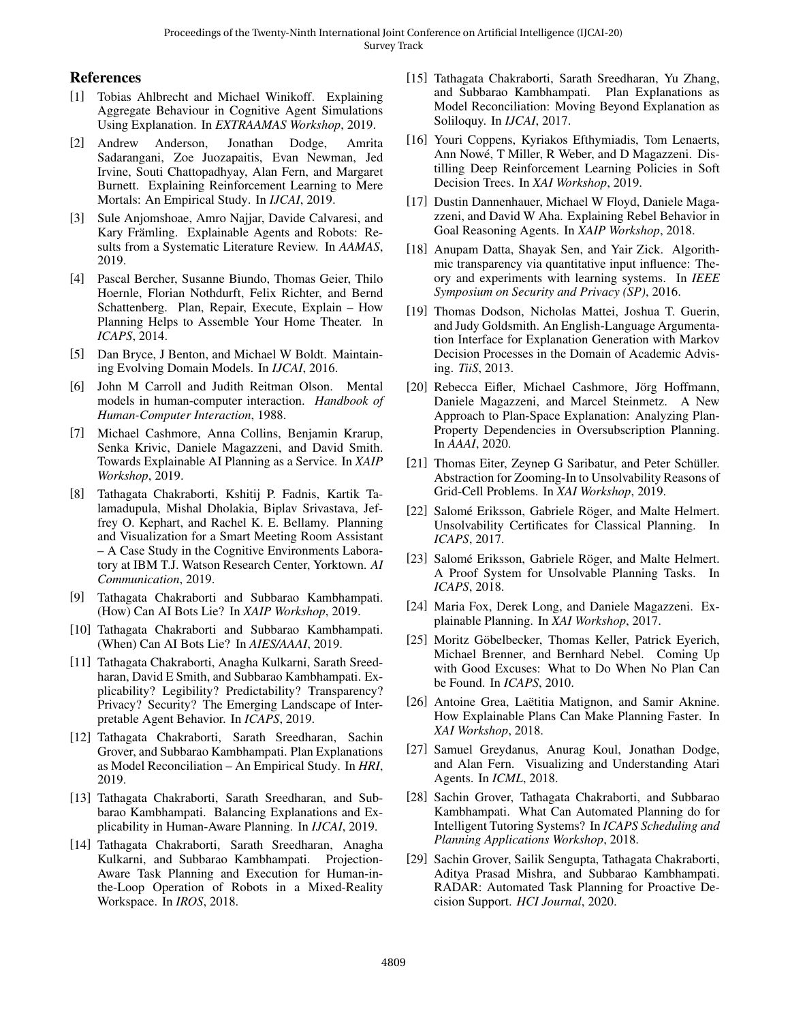## References

- <span id="page-6-13"></span>[1] Tobias Ahlbrecht and Michael Winikoff. Explaining Aggregate Behaviour in Cognitive Agent Simulations Using Explanation. In *EXTRAAMAS Workshop*, 2019.
- <span id="page-6-9"></span>[2] Andrew Anderson, Jonathan Dodge, Amrita Sadarangani, Zoe Juozapaitis, Evan Newman, Jed Irvine, Souti Chattopadhyay, Alan Fern, and Margaret Burnett. Explaining Reinforcement Learning to Mere Mortals: An Empirical Study. In *IJCAI*, 2019.
- <span id="page-6-0"></span>[3] Sule Anjomshoae, Amro Najjar, Davide Calvaresi, and Kary Främling. Explainable Agents and Robots: Results from a Systematic Literature Review. In *AAMAS*, 2019.
- <span id="page-6-11"></span>[4] Pascal Bercher, Susanne Biundo, Thomas Geier, Thilo Hoernle, Florian Nothdurft, Felix Richter, and Bernd Schattenberg. Plan, Repair, Execute, Explain – How Planning Helps to Assemble Your Home Theater. In *ICAPS*, 2014.
- <span id="page-6-20"></span>[5] Dan Bryce, J Benton, and Michael W Boldt. Maintaining Evolving Domain Models. In *IJCAI*, 2016.
- <span id="page-6-19"></span>[6] John M Carroll and Judith Reitman Olson. Mental models in human-computer interaction. *Handbook of Human-Computer Interaction*, 1988.
- <span id="page-6-10"></span>[7] Michael Cashmore, Anna Collins, Benjamin Krarup, Senka Krivic, Daniele Magazzeni, and David Smith. Towards Explainable AI Planning as a Service. In *XAIP Workshop*, 2019.
- <span id="page-6-12"></span>[8] Tathagata Chakraborti, Kshitij P. Fadnis, Kartik Talamadupula, Mishal Dholakia, Biplav Srivastava, Jeffrey O. Kephart, and Rachel K. E. Bellamy. Planning and Visualization for a Smart Meeting Room Assistant – A Case Study in the Cognitive Environments Laboratory at IBM T.J. Watson Research Center, Yorktown. *AI Communication*, 2019.
- <span id="page-6-25"></span>[9] Tathagata Chakraborti and Subbarao Kambhampati. (How) Can AI Bots Lie? In *XAIP Workshop*, 2019.
- <span id="page-6-24"></span>[10] Tathagata Chakraborti and Subbarao Kambhampati. (When) Can AI Bots Lie? In *AIES/AAAI*, 2019.
- <span id="page-6-2"></span>[11] Tathagata Chakraborti, Anagha Kulkarni, Sarath Sreedharan, David E Smith, and Subbarao Kambhampati. Explicability? Legibility? Predictability? Transparency? Privacy? Security? The Emerging Landscape of Interpretable Agent Behavior. In *ICAPS*, 2019.
- <span id="page-6-23"></span>[12] Tathagata Chakraborti, Sarath Sreedharan, Sachin Grover, and Subbarao Kambhampati. Plan Explanations as Model Reconciliation – An Empirical Study. In *HRI*, 2019.
- <span id="page-6-3"></span>[13] Tathagata Chakraborti, Sarath Sreedharan, and Subbarao Kambhampati. Balancing Explanations and Explicability in Human-Aware Planning. In *IJCAI*, 2019.
- <span id="page-6-27"></span>[14] Tathagata Chakraborti, Sarath Sreedharan, Anagha Kulkarni, and Subbarao Kambhampati. Projection-Aware Task Planning and Execution for Human-inthe-Loop Operation of Robots in a Mixed-Reality Workspace. In *IROS*, 2018.
- <span id="page-6-22"></span>[15] Tathagata Chakraborti, Sarath Sreedharan, Yu Zhang, and Subbarao Kambhampati. Plan Explanations as Model Reconciliation: Moving Beyond Explanation as Soliloquy. In *IJCAI*, 2017.
- <span id="page-6-26"></span>[16] Youri Coppens, Kyriakos Efthymiadis, Tom Lenaerts, Ann Nowé, T Miller, R Weber, and D Magazzeni. Distilling Deep Reinforcement Learning Policies in Soft Decision Trees. In *XAI Workshop*, 2019.
- <span id="page-6-1"></span>[17] Dustin Dannenhauer, Michael W Floyd, Daniele Magazzeni, and David W Aha. Explaining Rebel Behavior in Goal Reasoning Agents. In *XAIP Workshop*, 2018.
- <span id="page-6-7"></span>[18] Anupam Datta, Shayak Sen, and Yair Zick. Algorithmic transparency via quantitative input influence: Theory and experiments with learning systems. In *IEEE Symposium on Security and Privacy (SP)*, 2016.
- <span id="page-6-14"></span>[19] Thomas Dodson, Nicholas Mattei, Joshua T. Guerin, and Judy Goldsmith. An English-Language Argumentation Interface for Explanation Generation with Markov Decision Processes in the Domain of Academic Advising. *TiiS*, 2013.
- <span id="page-6-5"></span>[20] Rebecca Eifler, Michael Cashmore, Jörg Hoffmann, Daniele Magazzeni, and Marcel Steinmetz. A New Approach to Plan-Space Explanation: Analyzing Plan-Property Dependencies in Oversubscription Planning. In *AAAI*, 2020.
- <span id="page-6-16"></span>[21] Thomas Eiter, Zeynep G Saribatur, and Peter Schüller. Abstraction for Zooming-In to Unsolvability Reasons of Grid-Cell Problems. In *XAI Workshop*, 2019.
- <span id="page-6-17"></span>[22] Salomé Eriksson, Gabriele Röger, and Malte Helmert. Unsolvability Certificates for Classical Planning. In *ICAPS*, 2017.
- <span id="page-6-18"></span>[23] Salomé Eriksson, Gabriele Röger, and Malte Helmert. A Proof System for Unsolvable Planning Tasks. In *ICAPS*, 2018.
- <span id="page-6-6"></span>[24] Maria Fox, Derek Long, and Daniele Magazzeni. Explainable Planning. In *XAI Workshop*, 2017.
- <span id="page-6-15"></span>[25] Moritz Göbelbecker, Thomas Keller, Patrick Eyerich, Michael Brenner, and Bernhard Nebel. Coming Up with Good Excuses: What to Do When No Plan Can be Found. In *ICAPS*, 2010.
- <span id="page-6-28"></span>[26] Antoine Grea, Laëtitia Matignon, and Samir Aknine. How Explainable Plans Can Make Planning Faster. In *XAI Workshop*, 2018.
- <span id="page-6-8"></span>[27] Samuel Greydanus, Anurag Koul, Jonathan Dodge, and Alan Fern. Visualizing and Understanding Atari Agents. In *ICML*, 2018.
- <span id="page-6-21"></span>[28] Sachin Grover, Tathagata Chakraborti, and Subbarao Kambhampati. What Can Automated Planning do for Intelligent Tutoring Systems? In *ICAPS Scheduling and Planning Applications Workshop*, 2018.
- <span id="page-6-4"></span>[29] Sachin Grover, Sailik Sengupta, Tathagata Chakraborti, Aditya Prasad Mishra, and Subbarao Kambhampati. RADAR: Automated Task Planning for Proactive Decision Support. *HCI Journal*, 2020.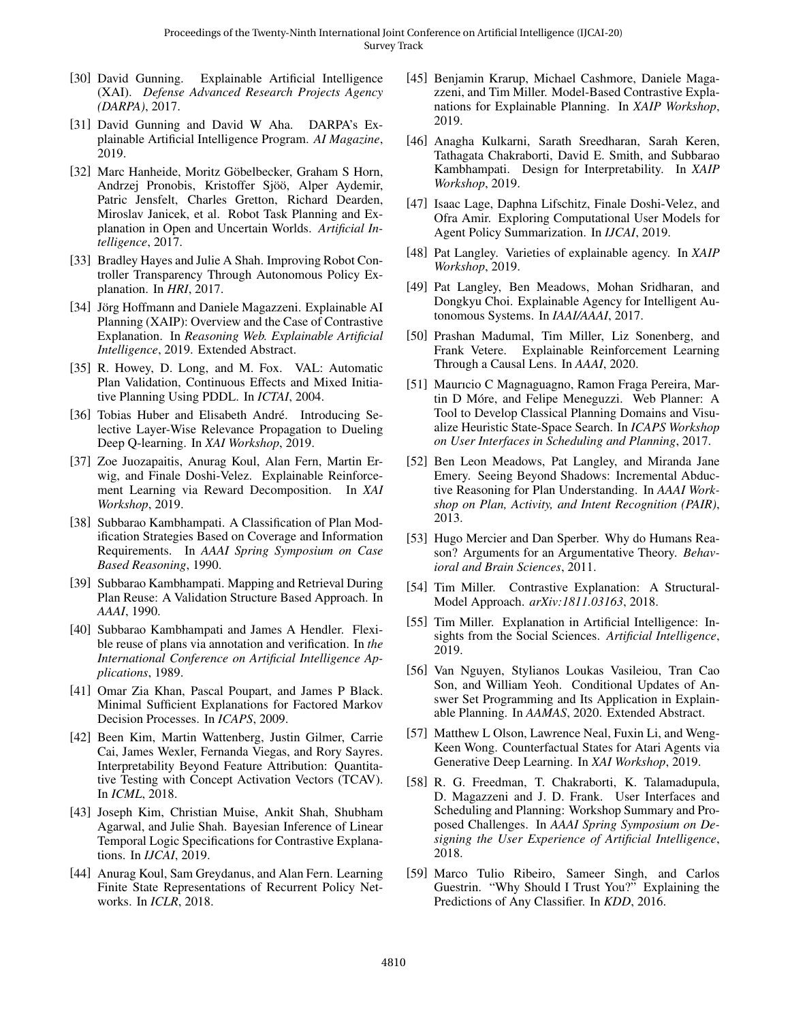- <span id="page-7-1"></span>[30] David Gunning. Explainable Artificial Intelligence (XAI). *Defense Advanced Research Projects Agency (DARPA)*, 2017.
- <span id="page-7-0"></span>[31] David Gunning and David W Aha. DARPA's Explainable Artificial Intelligence Program. *AI Magazine*, 2019.
- <span id="page-7-2"></span>[32] Marc Hanheide, Moritz Göbelbecker, Graham S Horn, Andrzej Pronobis, Kristoffer Sjöö, Alper Aydemir, Patric Jensfelt, Charles Gretton, Richard Dearden, Miroslav Janicek, et al. Robot Task Planning and Explanation in Open and Uncertain Worlds. *Artificial Intelligence*, 2017.
- <span id="page-7-26"></span>[33] Bradley Hayes and Julie A Shah. Improving Robot Controller Transparency Through Autonomous Policy Explanation. In *HRI*, 2017.
- <span id="page-7-8"></span>[34] Jörg Hoffmann and Daniele Magazzeni. Explainable AI Planning (XAIP): Overview and the Case of Contrastive Explanation. In *Reasoning Web. Explainable Artificial Intelligence*, 2019. Extended Abstract.
- <span id="page-7-17"></span>[35] R. Howey, D. Long, and M. Fox. VAL: Automatic Plan Validation, Continuous Effects and Mixed Initiative Planning Using PDDL. In *ICTAI*, 2004.
- <span id="page-7-12"></span>[36] Tobias Huber and Elisabeth André. Introducing Selective Layer-Wise Relevance Propagation to Dueling Deep Q-learning. In *XAI Workshop*, 2019.
- <span id="page-7-14"></span>[37] Zoe Juozapaitis, Anurag Koul, Alan Fern, Martin Erwig, and Finale Doshi-Velez. Explainable Reinforcement Learning via Reward Decomposition. In *XAI Workshop*, 2019.
- <span id="page-7-23"></span>[38] Subbarao Kambhampati. A Classification of Plan Modification Strategies Based on Coverage and Information Requirements. In *AAAI Spring Symposium on Case Based Reasoning*, 1990.
- <span id="page-7-15"></span>[39] Subbarao Kambhampati. Mapping and Retrieval During Plan Reuse: A Validation Structure Based Approach. In *AAAI*, 1990.
- <span id="page-7-16"></span>[40] Subbarao Kambhampati and James A Hendler. Flexible reuse of plans via annotation and verification. In *the International Conference on Artificial Intelligence Applications*, 1989.
- <span id="page-7-20"></span>[41] Omar Zia Khan, Pascal Poupart, and James P Black. Minimal Sufficient Explanations for Factored Markov Decision Processes. In *ICAPS*, 2009.
- <span id="page-7-10"></span>[42] Been Kim, Martin Wattenberg, Justin Gilmer, Carrie Cai, James Wexler, Fernanda Viegas, and Rory Sayres. Interpretability Beyond Feature Attribution: Quantitative Testing with Concept Activation Vectors (TCAV). In *ICML*, 2018.
- <span id="page-7-27"></span>[43] Joseph Kim, Christian Muise, Ankit Shah, Shubham Agarwal, and Julie Shah. Bayesian Inference of Linear Temporal Logic Specifications for Contrastive Explanations. In *IJCAI*, 2019.
- <span id="page-7-13"></span>[44] Anurag Koul, Sam Greydanus, and Alan Fern. Learning Finite State Representations of Recurrent Policy Networks. In *ICLR*, 2018.
- <span id="page-7-18"></span>[45] Benjamin Krarup, Michael Cashmore, Daniele Magazzeni, and Tim Miller. Model-Based Contrastive Explanations for Explainable Planning. In *XAIP Workshop*, 2019.
- <span id="page-7-3"></span>[46] Anagha Kulkarni, Sarath Sreedharan, Sarah Keren, Tathagata Chakraborti, David E. Smith, and Subbarao Kambhampati. Design for Interpretability. In *XAIP Workshop*, 2019.
- <span id="page-7-25"></span>[47] Isaac Lage, Daphna Lifschitz, Finale Doshi-Velez, and Ofra Amir. Exploring Computational User Models for Agent Policy Summarization. In *IJCAI*, 2019.
- <span id="page-7-5"></span>[48] Pat Langley. Varieties of explainable agency. In *XAIP Workshop*, 2019.
- <span id="page-7-4"></span>[49] Pat Langley, Ben Meadows, Mohan Sridharan, and Dongkyu Choi. Explainable Agency for Intelligent Autonomous Systems. In *IAAI/AAAI*, 2017.
- <span id="page-7-21"></span>[50] Prashan Madumal, Tim Miller, Liz Sonenberg, and Frank Vetere. Explainable Reinforcement Learning Through a Causal Lens. In *AAAI*, 2020.
- <span id="page-7-11"></span>[51] Maurıcio C Magnaguagno, Ramon Fraga Pereira, Martin D Móre, and Felipe Meneguzzi. Web Planner: A Tool to Develop Classical Planning Domains and Visualize Heuristic State-Space Search. In *ICAPS Workshop on User Interfaces in Scheduling and Planning*, 2017.
- <span id="page-7-22"></span>[52] Ben Leon Meadows, Pat Langley, and Miranda Jane Emery. Seeing Beyond Shadows: Incremental Abductive Reasoning for Plan Understanding. In *AAAI Workshop on Plan, Activity, and Intent Recognition (PAIR)*, 2013.
- <span id="page-7-29"></span>[53] Hugo Mercier and Dan Sperber. Why do Humans Reason? Arguments for an Argumentative Theory. *Behavioral and Brain Sciences*, 2011.
- <span id="page-7-9"></span>[54] Tim Miller. Contrastive Explanation: A Structural-Model Approach. *arXiv:1811.03163*, 2018.
- <span id="page-7-6"></span>[55] Tim Miller. Explanation in Artificial Intelligence: Insights from the Social Sciences. *Artificial Intelligence*, 2019.
- <span id="page-7-24"></span>[56] Van Nguyen, Stylianos Loukas Vasileiou, Tran Cao Son, and William Yeoh. Conditional Updates of Answer Set Programming and Its Application in Explainable Planning. In *AAMAS*, 2020. Extended Abstract.
- <span id="page-7-19"></span>[57] Matthew L Olson, Lawrence Neal, Fuxin Li, and Weng-Keen Wong. Counterfactual States for Atari Agents via Generative Deep Learning. In *XAI Workshop*, 2019.
- <span id="page-7-28"></span>[58] R. G. Freedman, T. Chakraborti, K. Talamadupula, D. Magazzeni and J. D. Frank. User Interfaces and Scheduling and Planning: Workshop Summary and Proposed Challenges. In *AAAI Spring Symposium on Designing the User Experience of Artificial Intelligence*, 2018.
- <span id="page-7-7"></span>[59] Marco Tulio Ribeiro, Sameer Singh, and Carlos Guestrin. "Why Should I Trust You?" Explaining the Predictions of Any Classifier. In *KDD*, 2016.